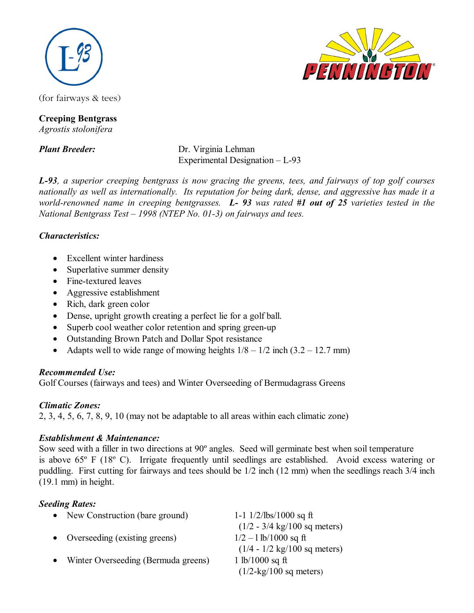

(for fairways & tees)

#### **Creeping Bentgrass**  *Agrostis stolonifera*

*Plant Breeder:* Dr. Virginia Lehman Experimental Designation – L-93

*L-93, a superior creeping bentgrass is now gracing the greens, tees, and fairways of top golf courses nationally as well as internationally. Its reputation for being dark, dense, and aggressive has made it a world-renowned name in creeping bentgrasses. L- 93 was rated #1 out of 25 varieties tested in the National Bentgrass Test – 1998 (NTEP No. 01-3) on fairways and tees.* 

### *Characteristics:*

- Excellent winter hardiness
- Superlative summer density
- Fine-textured leaves
- Aggressive establishment
- Rich, dark green color
- Dense, upright growth creating a perfect lie for a golf ball.
- Superb cool weather color retention and spring green-up
- Outstanding Brown Patch and Dollar Spot resistance
- Adapts well to wide range of mowing heights  $1/8 1/2$  inch  $(3.2 12.7$  mm)

### *Recommended Use:*

Golf Courses (fairways and tees) and Winter Overseeding of Bermudagrass Greens

# *Climatic Zones:*

2, 3, 4, 5, 6, 7, 8, 9, 10 (may not be adaptable to all areas within each climatic zone)

# *Establishment & Maintenance:*

Sow seed with a filler in two directions at 90º angles. Seed will germinate best when soil temperature is above 65º F (18º C). Irrigate frequently until seedlings are established. Avoid excess watering or puddling. First cutting for fairways and tees should be 1/2 inch (12 mm) when the seedlings reach 3/4 inch (19.1 mm) in height.

# *Seeding Rates:*

|           | • New Construction (bare ground)    | 1-1 $1/2$ /lbs/1000 sq ft                      |
|-----------|-------------------------------------|------------------------------------------------|
|           |                                     | $(1/2 - 3/4 \text{ kg}/100 \text{ sq meters})$ |
|           | • Overseeding (existing greens)     | $1/2 - 1$ lb/1000 sq ft                        |
|           |                                     | $(1/4 - 1/2 \text{ kg}/100 \text{ sq meters})$ |
| $\bullet$ | Winter Overseeding (Bermuda greens) | 1 lb/1000 sq ft                                |
|           |                                     | $(1/2$ -kg/100 sq meters)                      |